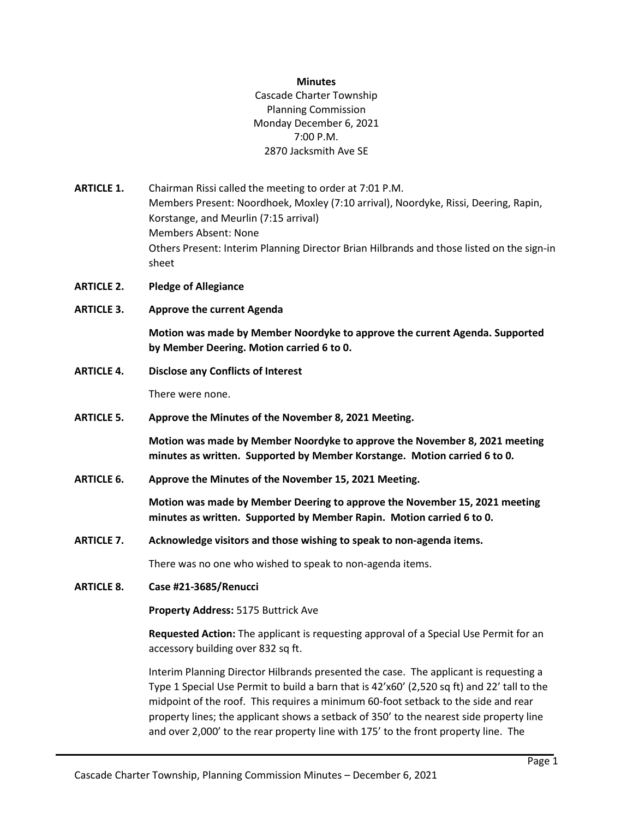## **Minutes**

Cascade Charter Township Planning Commission Monday December 6, 2021 7:00 P.M. 2870 Jacksmith Ave SE

- **ARTICLE 1.** Chairman Rissi called the meeting to order at 7:01 P.M. Members Present: Noordhoek, Moxley (7:10 arrival), Noordyke, Rissi, Deering, Rapin, Korstange, and Meurlin (7:15 arrival) Members Absent: None Others Present: Interim Planning Director Brian Hilbrands and those listed on the sign-in sheet
- **ARTICLE 2. Pledge of Allegiance**
- **ARTICLE 3. Approve the current Agenda**

**Motion was made by Member Noordyke to approve the current Agenda. Supported by Member Deering. Motion carried 6 to 0.**

**ARTICLE 4. Disclose any Conflicts of Interest**

There were none.

**ARTICLE 5. Approve the Minutes of the November 8, 2021 Meeting.**

**Motion was made by Member Noordyke to approve the November 8, 2021 meeting minutes as written. Supported by Member Korstange. Motion carried 6 to 0.**

**ARTICLE 6. Approve the Minutes of the November 15, 2021 Meeting.**

**Motion was made by Member Deering to approve the November 15, 2021 meeting minutes as written. Supported by Member Rapin. Motion carried 6 to 0.**

**ARTICLE 7. Acknowledge visitors and those wishing to speak to non-agenda items.**

There was no one who wished to speak to non-agenda items.

**ARTICLE 8. Case #21-3685/Renucci**

**Property Address:** 5175 Buttrick Ave

**Requested Action:** The applicant is requesting approval of a Special Use Permit for an accessory building over 832 sq ft.

Interim Planning Director Hilbrands presented the case. The applicant is requesting a Type 1 Special Use Permit to build a barn that is 42'x60' (2,520 sq ft) and 22' tall to the midpoint of the roof. This requires a minimum 60-foot setback to the side and rear property lines; the applicant shows a setback of 350' to the nearest side property line and over 2,000' to the rear property line with 175' to the front property line. The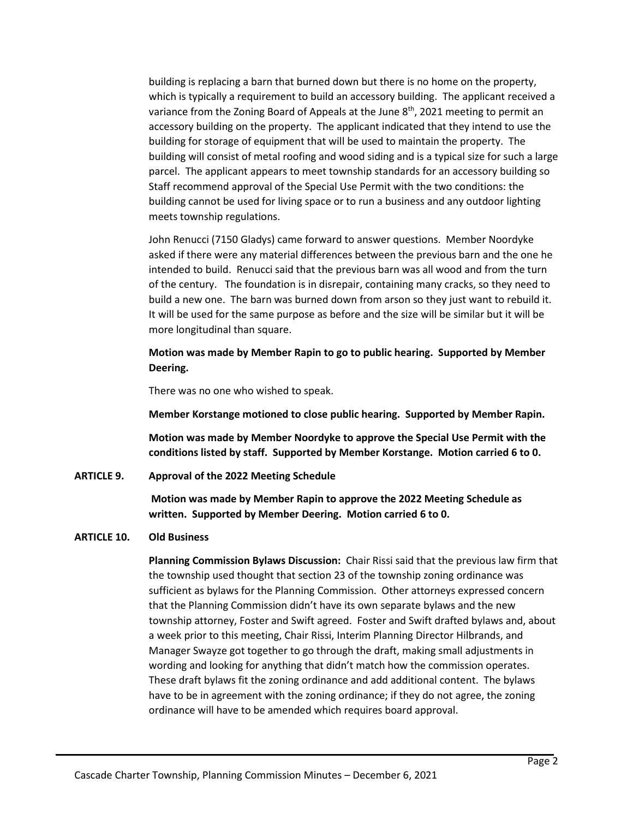building is replacing a barn that burned down but there is no home on the property, which is typically a requirement to build an accessory building. The applicant received a variance from the Zoning Board of Appeals at the June 8<sup>th</sup>, 2021 meeting to permit an accessory building on the property. The applicant indicated that they intend to use the building for storage of equipment that will be used to maintain the property. The building will consist of metal roofing and wood siding and is a typical size for such a large parcel. The applicant appears to meet township standards for an accessory building so Staff recommend approval of the Special Use Permit with the two conditions: the building cannot be used for living space or to run a business and any outdoor lighting meets township regulations.

John Renucci (7150 Gladys) came forward to answer questions. Member Noordyke asked if there were any material differences between the previous barn and the one he intended to build. Renucci said that the previous barn was all wood and from the turn of the century. The foundation is in disrepair, containing many cracks, so they need to build a new one. The barn was burned down from arson so they just want to rebuild it. It will be used for the same purpose as before and the size will be similar but it will be more longitudinal than square.

**Motion was made by Member Rapin to go to public hearing. Supported by Member Deering.**

There was no one who wished to speak.

**Member Korstange motioned to close public hearing. Supported by Member Rapin.** 

**Motion was made by Member Noordyke to approve the Special Use Permit with the conditions listed by staff. Supported by Member Korstange. Motion carried 6 to 0.**

**ARTICLE 9. Approval of the 2022 Meeting Schedule**

**Motion was made by Member Rapin to approve the 2022 Meeting Schedule as written. Supported by Member Deering. Motion carried 6 to 0.**

## **ARTICLE 10. Old Business**

**Planning Commission Bylaws Discussion:** Chair Rissi said that the previous law firm that the township used thought that section 23 of the township zoning ordinance was sufficient as bylaws for the Planning Commission. Other attorneys expressed concern that the Planning Commission didn't have its own separate bylaws and the new township attorney, Foster and Swift agreed. Foster and Swift drafted bylaws and, about a week prior to this meeting, Chair Rissi, Interim Planning Director Hilbrands, and Manager Swayze got together to go through the draft, making small adjustments in wording and looking for anything that didn't match how the commission operates. These draft bylaws fit the zoning ordinance and add additional content. The bylaws have to be in agreement with the zoning ordinance; if they do not agree, the zoning ordinance will have to be amended which requires board approval.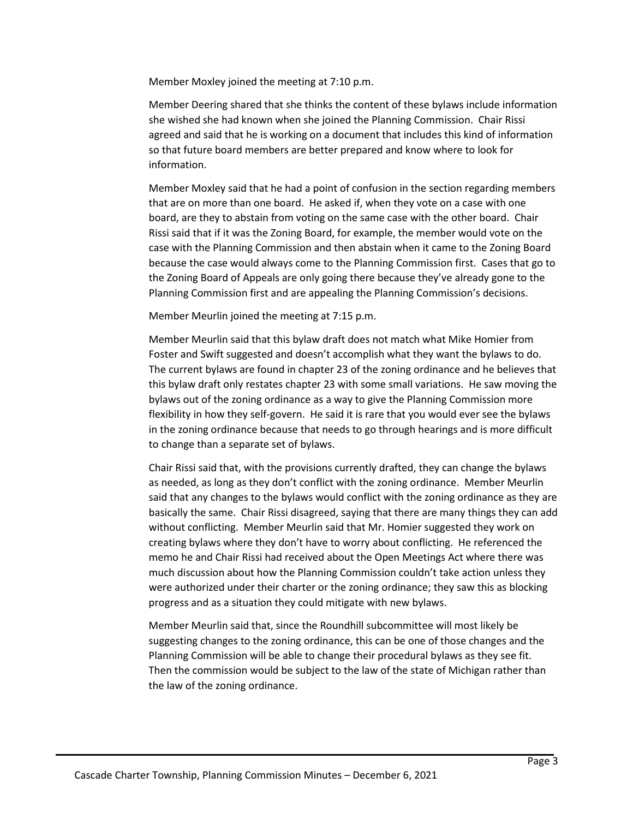Member Moxley joined the meeting at 7:10 p.m.

Member Deering shared that she thinks the content of these bylaws include information she wished she had known when she joined the Planning Commission. Chair Rissi agreed and said that he is working on a document that includes this kind of information so that future board members are better prepared and know where to look for information.

Member Moxley said that he had a point of confusion in the section regarding members that are on more than one board. He asked if, when they vote on a case with one board, are they to abstain from voting on the same case with the other board. Chair Rissi said that if it was the Zoning Board, for example, the member would vote on the case with the Planning Commission and then abstain when it came to the Zoning Board because the case would always come to the Planning Commission first. Cases that go to the Zoning Board of Appeals are only going there because they've already gone to the Planning Commission first and are appealing the Planning Commission's decisions.

Member Meurlin joined the meeting at 7:15 p.m.

Member Meurlin said that this bylaw draft does not match what Mike Homier from Foster and Swift suggested and doesn't accomplish what they want the bylaws to do. The current bylaws are found in chapter 23 of the zoning ordinance and he believes that this bylaw draft only restates chapter 23 with some small variations. He saw moving the bylaws out of the zoning ordinance as a way to give the Planning Commission more flexibility in how they self-govern. He said it is rare that you would ever see the bylaws in the zoning ordinance because that needs to go through hearings and is more difficult to change than a separate set of bylaws.

Chair Rissi said that, with the provisions currently drafted, they can change the bylaws as needed, as long as they don't conflict with the zoning ordinance. Member Meurlin said that any changes to the bylaws would conflict with the zoning ordinance as they are basically the same. Chair Rissi disagreed, saying that there are many things they can add without conflicting. Member Meurlin said that Mr. Homier suggested they work on creating bylaws where they don't have to worry about conflicting. He referenced the memo he and Chair Rissi had received about the Open Meetings Act where there was much discussion about how the Planning Commission couldn't take action unless they were authorized under their charter or the zoning ordinance; they saw this as blocking progress and as a situation they could mitigate with new bylaws.

Member Meurlin said that, since the Roundhill subcommittee will most likely be suggesting changes to the zoning ordinance, this can be one of those changes and the Planning Commission will be able to change their procedural bylaws as they see fit. Then the commission would be subject to the law of the state of Michigan rather than the law of the zoning ordinance.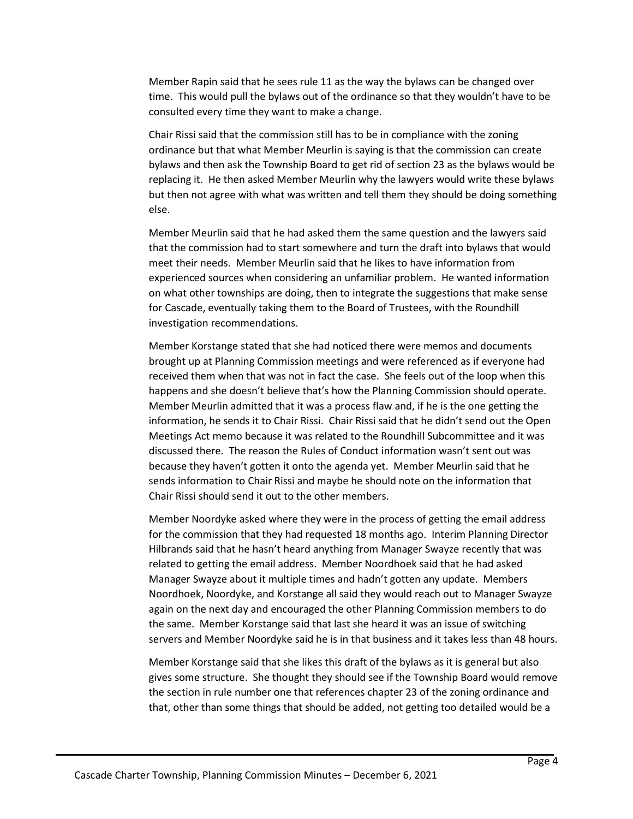Member Rapin said that he sees rule 11 as the way the bylaws can be changed over time. This would pull the bylaws out of the ordinance so that they wouldn't have to be consulted every time they want to make a change.

Chair Rissi said that the commission still has to be in compliance with the zoning ordinance but that what Member Meurlin is saying is that the commission can create bylaws and then ask the Township Board to get rid of section 23 as the bylaws would be replacing it. He then asked Member Meurlin why the lawyers would write these bylaws but then not agree with what was written and tell them they should be doing something else.

Member Meurlin said that he had asked them the same question and the lawyers said that the commission had to start somewhere and turn the draft into bylaws that would meet their needs. Member Meurlin said that he likes to have information from experienced sources when considering an unfamiliar problem. He wanted information on what other townships are doing, then to integrate the suggestions that make sense for Cascade, eventually taking them to the Board of Trustees, with the Roundhill investigation recommendations.

Member Korstange stated that she had noticed there were memos and documents brought up at Planning Commission meetings and were referenced as if everyone had received them when that was not in fact the case. She feels out of the loop when this happens and she doesn't believe that's how the Planning Commission should operate. Member Meurlin admitted that it was a process flaw and, if he is the one getting the information, he sends it to Chair Rissi. Chair Rissi said that he didn't send out the Open Meetings Act memo because it was related to the Roundhill Subcommittee and it was discussed there. The reason the Rules of Conduct information wasn't sent out was because they haven't gotten it onto the agenda yet. Member Meurlin said that he sends information to Chair Rissi and maybe he should note on the information that Chair Rissi should send it out to the other members.

Member Noordyke asked where they were in the process of getting the email address for the commission that they had requested 18 months ago. Interim Planning Director Hilbrands said that he hasn't heard anything from Manager Swayze recently that was related to getting the email address. Member Noordhoek said that he had asked Manager Swayze about it multiple times and hadn't gotten any update. Members Noordhoek, Noordyke, and Korstange all said they would reach out to Manager Swayze again on the next day and encouraged the other Planning Commission members to do the same. Member Korstange said that last she heard it was an issue of switching servers and Member Noordyke said he is in that business and it takes less than 48 hours.

Member Korstange said that she likes this draft of the bylaws as it is general but also gives some structure. She thought they should see if the Township Board would remove the section in rule number one that references chapter 23 of the zoning ordinance and that, other than some things that should be added, not getting too detailed would be a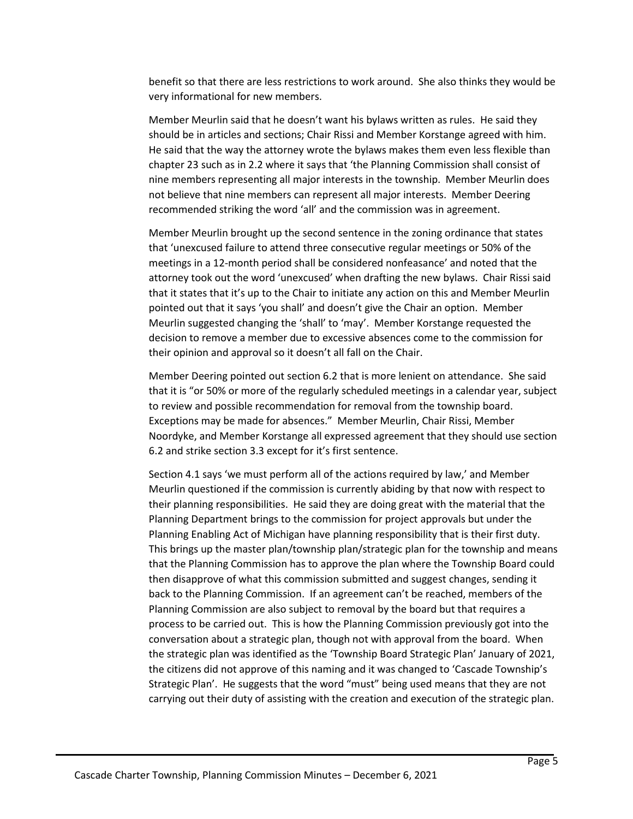benefit so that there are less restrictions to work around. She also thinks they would be very informational for new members.

Member Meurlin said that he doesn't want his bylaws written as rules. He said they should be in articles and sections; Chair Rissi and Member Korstange agreed with him. He said that the way the attorney wrote the bylaws makes them even less flexible than chapter 23 such as in 2.2 where it says that 'the Planning Commission shall consist of nine members representing all major interests in the township. Member Meurlin does not believe that nine members can represent all major interests. Member Deering recommended striking the word 'all' and the commission was in agreement.

Member Meurlin brought up the second sentence in the zoning ordinance that states that 'unexcused failure to attend three consecutive regular meetings or 50% of the meetings in a 12-month period shall be considered nonfeasance' and noted that the attorney took out the word 'unexcused' when drafting the new bylaws. Chair Rissi said that it states that it's up to the Chair to initiate any action on this and Member Meurlin pointed out that it says 'you shall' and doesn't give the Chair an option. Member Meurlin suggested changing the 'shall' to 'may'. Member Korstange requested the decision to remove a member due to excessive absences come to the commission for their opinion and approval so it doesn't all fall on the Chair.

Member Deering pointed out section 6.2 that is more lenient on attendance. She said that it is "or 50% or more of the regularly scheduled meetings in a calendar year, subject to review and possible recommendation for removal from the township board. Exceptions may be made for absences." Member Meurlin, Chair Rissi, Member Noordyke, and Member Korstange all expressed agreement that they should use section 6.2 and strike section 3.3 except for it's first sentence.

Section 4.1 says 'we must perform all of the actions required by law,' and Member Meurlin questioned if the commission is currently abiding by that now with respect to their planning responsibilities. He said they are doing great with the material that the Planning Department brings to the commission for project approvals but under the Planning Enabling Act of Michigan have planning responsibility that is their first duty. This brings up the master plan/township plan/strategic plan for the township and means that the Planning Commission has to approve the plan where the Township Board could then disapprove of what this commission submitted and suggest changes, sending it back to the Planning Commission. If an agreement can't be reached, members of the Planning Commission are also subject to removal by the board but that requires a process to be carried out. This is how the Planning Commission previously got into the conversation about a strategic plan, though not with approval from the board. When the strategic plan was identified as the 'Township Board Strategic Plan' January of 2021, the citizens did not approve of this naming and it was changed to 'Cascade Township's Strategic Plan'. He suggests that the word "must" being used means that they are not carrying out their duty of assisting with the creation and execution of the strategic plan.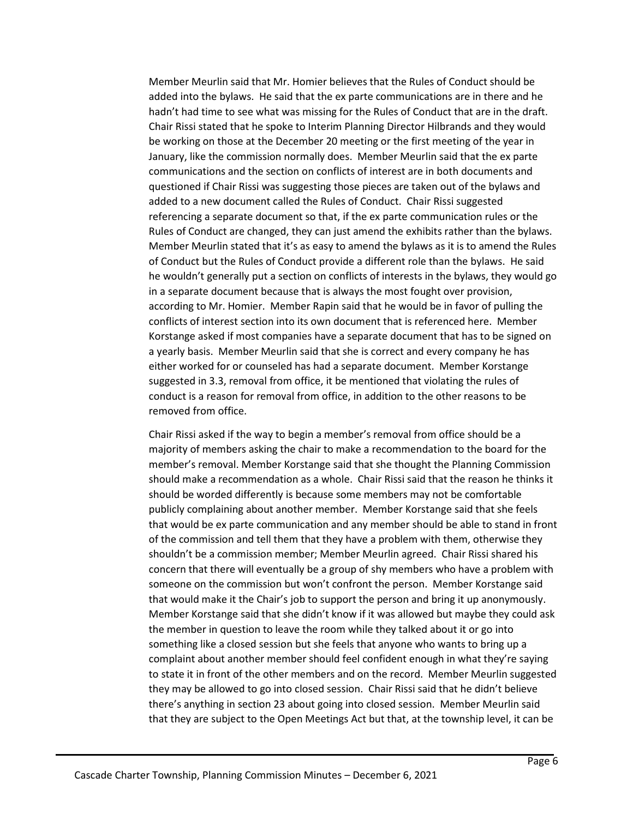Member Meurlin said that Mr. Homier believes that the Rules of Conduct should be added into the bylaws. He said that the ex parte communications are in there and he hadn't had time to see what was missing for the Rules of Conduct that are in the draft. Chair Rissi stated that he spoke to Interim Planning Director Hilbrands and they would be working on those at the December 20 meeting or the first meeting of the year in January, like the commission normally does. Member Meurlin said that the ex parte communications and the section on conflicts of interest are in both documents and questioned if Chair Rissi was suggesting those pieces are taken out of the bylaws and added to a new document called the Rules of Conduct. Chair Rissi suggested referencing a separate document so that, if the ex parte communication rules or the Rules of Conduct are changed, they can just amend the exhibits rather than the bylaws. Member Meurlin stated that it's as easy to amend the bylaws as it is to amend the Rules of Conduct but the Rules of Conduct provide a different role than the bylaws. He said he wouldn't generally put a section on conflicts of interests in the bylaws, they would go in a separate document because that is always the most fought over provision, according to Mr. Homier. Member Rapin said that he would be in favor of pulling the conflicts of interest section into its own document that is referenced here. Member Korstange asked if most companies have a separate document that has to be signed on a yearly basis. Member Meurlin said that she is correct and every company he has either worked for or counseled has had a separate document. Member Korstange suggested in 3.3, removal from office, it be mentioned that violating the rules of conduct is a reason for removal from office, in addition to the other reasons to be removed from office.

Chair Rissi asked if the way to begin a member's removal from office should be a majority of members asking the chair to make a recommendation to the board for the member's removal. Member Korstange said that she thought the Planning Commission should make a recommendation as a whole. Chair Rissi said that the reason he thinks it should be worded differently is because some members may not be comfortable publicly complaining about another member. Member Korstange said that she feels that would be ex parte communication and any member should be able to stand in front of the commission and tell them that they have a problem with them, otherwise they shouldn't be a commission member; Member Meurlin agreed. Chair Rissi shared his concern that there will eventually be a group of shy members who have a problem with someone on the commission but won't confront the person. Member Korstange said that would make it the Chair's job to support the person and bring it up anonymously. Member Korstange said that she didn't know if it was allowed but maybe they could ask the member in question to leave the room while they talked about it or go into something like a closed session but she feels that anyone who wants to bring up a complaint about another member should feel confident enough in what they're saying to state it in front of the other members and on the record. Member Meurlin suggested they may be allowed to go into closed session. Chair Rissi said that he didn't believe there's anything in section 23 about going into closed session. Member Meurlin said that they are subject to the Open Meetings Act but that, at the township level, it can be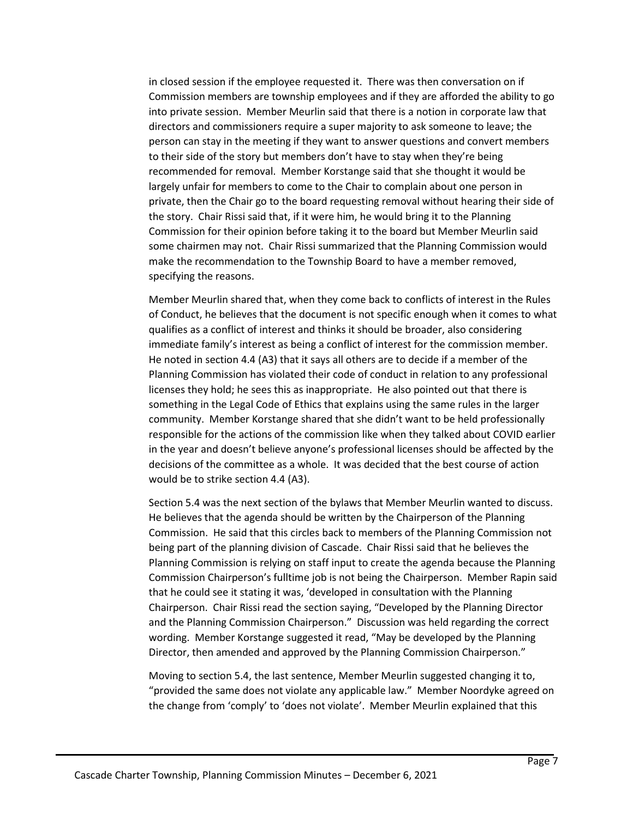in closed session if the employee requested it. There was then conversation on if Commission members are township employees and if they are afforded the ability to go into private session. Member Meurlin said that there is a notion in corporate law that directors and commissioners require a super majority to ask someone to leave; the person can stay in the meeting if they want to answer questions and convert members to their side of the story but members don't have to stay when they're being recommended for removal. Member Korstange said that she thought it would be largely unfair for members to come to the Chair to complain about one person in private, then the Chair go to the board requesting removal without hearing their side of the story. Chair Rissi said that, if it were him, he would bring it to the Planning Commission for their opinion before taking it to the board but Member Meurlin said some chairmen may not. Chair Rissi summarized that the Planning Commission would make the recommendation to the Township Board to have a member removed, specifying the reasons.

Member Meurlin shared that, when they come back to conflicts of interest in the Rules of Conduct, he believes that the document is not specific enough when it comes to what qualifies as a conflict of interest and thinks it should be broader, also considering immediate family's interest as being a conflict of interest for the commission member. He noted in section 4.4 (A3) that it says all others are to decide if a member of the Planning Commission has violated their code of conduct in relation to any professional licenses they hold; he sees this as inappropriate. He also pointed out that there is something in the Legal Code of Ethics that explains using the same rules in the larger community. Member Korstange shared that she didn't want to be held professionally responsible for the actions of the commission like when they talked about COVID earlier in the year and doesn't believe anyone's professional licenses should be affected by the decisions of the committee as a whole. It was decided that the best course of action would be to strike section 4.4 (A3).

Section 5.4 was the next section of the bylaws that Member Meurlin wanted to discuss. He believes that the agenda should be written by the Chairperson of the Planning Commission. He said that this circles back to members of the Planning Commission not being part of the planning division of Cascade. Chair Rissi said that he believes the Planning Commission is relying on staff input to create the agenda because the Planning Commission Chairperson's fulltime job is not being the Chairperson. Member Rapin said that he could see it stating it was, 'developed in consultation with the Planning Chairperson. Chair Rissi read the section saying, "Developed by the Planning Director and the Planning Commission Chairperson." Discussion was held regarding the correct wording. Member Korstange suggested it read, "May be developed by the Planning Director, then amended and approved by the Planning Commission Chairperson."

Moving to section 5.4, the last sentence, Member Meurlin suggested changing it to, "provided the same does not violate any applicable law." Member Noordyke agreed on the change from 'comply' to 'does not violate'. Member Meurlin explained that this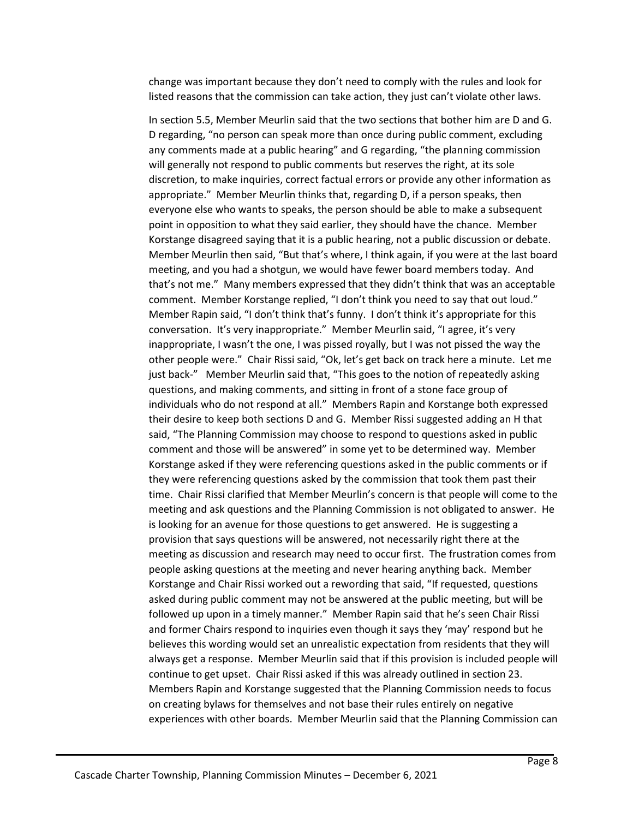change was important because they don't need to comply with the rules and look for listed reasons that the commission can take action, they just can't violate other laws.

In section 5.5, Member Meurlin said that the two sections that bother him are D and G. D regarding, "no person can speak more than once during public comment, excluding any comments made at a public hearing" and G regarding, "the planning commission will generally not respond to public comments but reserves the right, at its sole discretion, to make inquiries, correct factual errors or provide any other information as appropriate." Member Meurlin thinks that, regarding D, if a person speaks, then everyone else who wants to speaks, the person should be able to make a subsequent point in opposition to what they said earlier, they should have the chance. Member Korstange disagreed saying that it is a public hearing, not a public discussion or debate. Member Meurlin then said, "But that's where, I think again, if you were at the last board meeting, and you had a shotgun, we would have fewer board members today. And that's not me." Many members expressed that they didn't think that was an acceptable comment. Member Korstange replied, "I don't think you need to say that out loud." Member Rapin said, "I don't think that's funny. I don't think it's appropriate for this conversation. It's very inappropriate." Member Meurlin said, "I agree, it's very inappropriate, I wasn't the one, I was pissed royally, but I was not pissed the way the other people were." Chair Rissi said, "Ok, let's get back on track here a minute. Let me just back-" Member Meurlin said that, "This goes to the notion of repeatedly asking questions, and making comments, and sitting in front of a stone face group of individuals who do not respond at all." Members Rapin and Korstange both expressed their desire to keep both sections D and G. Member Rissi suggested adding an H that said, "The Planning Commission may choose to respond to questions asked in public comment and those will be answered" in some yet to be determined way. Member Korstange asked if they were referencing questions asked in the public comments or if they were referencing questions asked by the commission that took them past their time. Chair Rissi clarified that Member Meurlin's concern is that people will come to the meeting and ask questions and the Planning Commission is not obligated to answer. He is looking for an avenue for those questions to get answered. He is suggesting a provision that says questions will be answered, not necessarily right there at the meeting as discussion and research may need to occur first. The frustration comes from people asking questions at the meeting and never hearing anything back. Member Korstange and Chair Rissi worked out a rewording that said, "If requested, questions asked during public comment may not be answered at the public meeting, but will be followed up upon in a timely manner." Member Rapin said that he's seen Chair Rissi and former Chairs respond to inquiries even though it says they 'may' respond but he believes this wording would set an unrealistic expectation from residents that they will always get a response. Member Meurlin said that if this provision is included people will continue to get upset. Chair Rissi asked if this was already outlined in section 23. Members Rapin and Korstange suggested that the Planning Commission needs to focus on creating bylaws for themselves and not base their rules entirely on negative experiences with other boards. Member Meurlin said that the Planning Commission can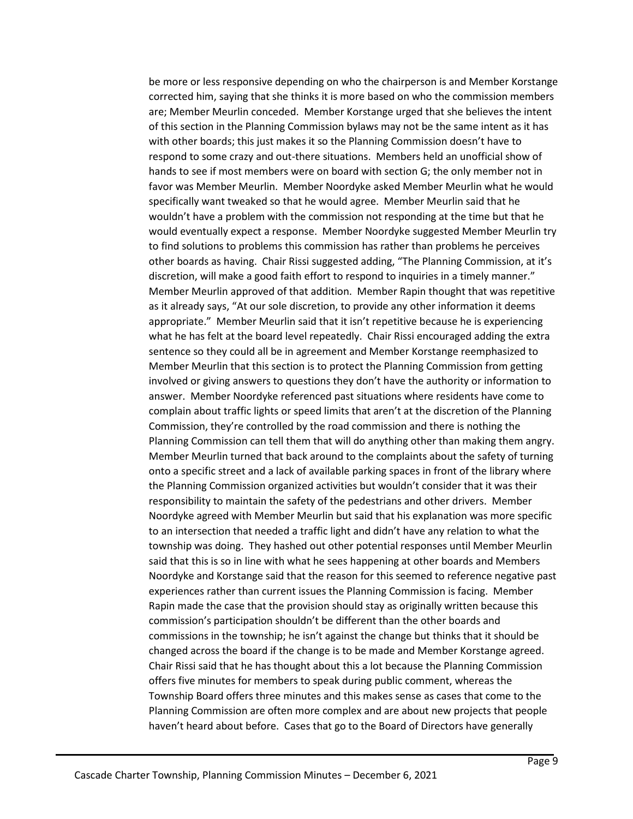be more or less responsive depending on who the chairperson is and Member Korstange corrected him, saying that she thinks it is more based on who the commission members are; Member Meurlin conceded. Member Korstange urged that she believes the intent of this section in the Planning Commission bylaws may not be the same intent as it has with other boards; this just makes it so the Planning Commission doesn't have to respond to some crazy and out-there situations. Members held an unofficial show of hands to see if most members were on board with section G; the only member not in favor was Member Meurlin. Member Noordyke asked Member Meurlin what he would specifically want tweaked so that he would agree. Member Meurlin said that he wouldn't have a problem with the commission not responding at the time but that he would eventually expect a response. Member Noordyke suggested Member Meurlin try to find solutions to problems this commission has rather than problems he perceives other boards as having. Chair Rissi suggested adding, "The Planning Commission, at it's discretion, will make a good faith effort to respond to inquiries in a timely manner." Member Meurlin approved of that addition. Member Rapin thought that was repetitive as it already says, "At our sole discretion, to provide any other information it deems appropriate." Member Meurlin said that it isn't repetitive because he is experiencing what he has felt at the board level repeatedly. Chair Rissi encouraged adding the extra sentence so they could all be in agreement and Member Korstange reemphasized to Member Meurlin that this section is to protect the Planning Commission from getting involved or giving answers to questions they don't have the authority or information to answer. Member Noordyke referenced past situations where residents have come to complain about traffic lights or speed limits that aren't at the discretion of the Planning Commission, they're controlled by the road commission and there is nothing the Planning Commission can tell them that will do anything other than making them angry. Member Meurlin turned that back around to the complaints about the safety of turning onto a specific street and a lack of available parking spaces in front of the library where the Planning Commission organized activities but wouldn't consider that it was their responsibility to maintain the safety of the pedestrians and other drivers. Member Noordyke agreed with Member Meurlin but said that his explanation was more specific to an intersection that needed a traffic light and didn't have any relation to what the township was doing. They hashed out other potential responses until Member Meurlin said that this is so in line with what he sees happening at other boards and Members Noordyke and Korstange said that the reason for this seemed to reference negative past experiences rather than current issues the Planning Commission is facing. Member Rapin made the case that the provision should stay as originally written because this commission's participation shouldn't be different than the other boards and commissions in the township; he isn't against the change but thinks that it should be changed across the board if the change is to be made and Member Korstange agreed. Chair Rissi said that he has thought about this a lot because the Planning Commission offers five minutes for members to speak during public comment, whereas the Township Board offers three minutes and this makes sense as cases that come to the Planning Commission are often more complex and are about new projects that people haven't heard about before. Cases that go to the Board of Directors have generally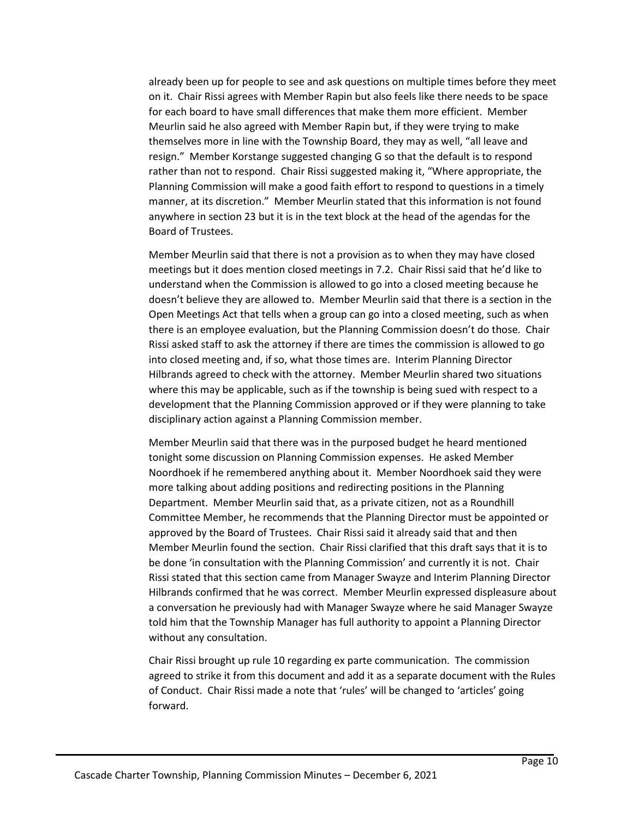already been up for people to see and ask questions on multiple times before they meet on it. Chair Rissi agrees with Member Rapin but also feels like there needs to be space for each board to have small differences that make them more efficient. Member Meurlin said he also agreed with Member Rapin but, if they were trying to make themselves more in line with the Township Board, they may as well, "all leave and resign." Member Korstange suggested changing G so that the default is to respond rather than not to respond. Chair Rissi suggested making it, "Where appropriate, the Planning Commission will make a good faith effort to respond to questions in a timely manner, at its discretion." Member Meurlin stated that this information is not found anywhere in section 23 but it is in the text block at the head of the agendas for the Board of Trustees.

Member Meurlin said that there is not a provision as to when they may have closed meetings but it does mention closed meetings in 7.2. Chair Rissi said that he'd like to understand when the Commission is allowed to go into a closed meeting because he doesn't believe they are allowed to. Member Meurlin said that there is a section in the Open Meetings Act that tells when a group can go into a closed meeting, such as when there is an employee evaluation, but the Planning Commission doesn't do those. Chair Rissi asked staff to ask the attorney if there are times the commission is allowed to go into closed meeting and, if so, what those times are. Interim Planning Director Hilbrands agreed to check with the attorney. Member Meurlin shared two situations where this may be applicable, such as if the township is being sued with respect to a development that the Planning Commission approved or if they were planning to take disciplinary action against a Planning Commission member.

Member Meurlin said that there was in the purposed budget he heard mentioned tonight some discussion on Planning Commission expenses. He asked Member Noordhoek if he remembered anything about it. Member Noordhoek said they were more talking about adding positions and redirecting positions in the Planning Department. Member Meurlin said that, as a private citizen, not as a Roundhill Committee Member, he recommends that the Planning Director must be appointed or approved by the Board of Trustees. Chair Rissi said it already said that and then Member Meurlin found the section. Chair Rissi clarified that this draft says that it is to be done 'in consultation with the Planning Commission' and currently it is not. Chair Rissi stated that this section came from Manager Swayze and Interim Planning Director Hilbrands confirmed that he was correct. Member Meurlin expressed displeasure about a conversation he previously had with Manager Swayze where he said Manager Swayze told him that the Township Manager has full authority to appoint a Planning Director without any consultation.

Chair Rissi brought up rule 10 regarding ex parte communication. The commission agreed to strike it from this document and add it as a separate document with the Rules of Conduct. Chair Rissi made a note that 'rules' will be changed to 'articles' going forward.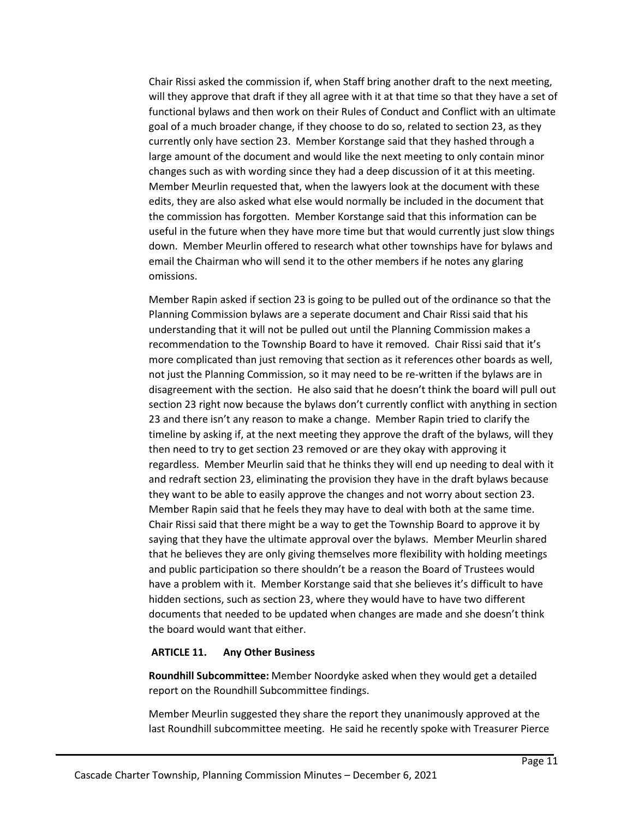Chair Rissi asked the commission if, when Staff bring another draft to the next meeting, will they approve that draft if they all agree with it at that time so that they have a set of functional bylaws and then work on their Rules of Conduct and Conflict with an ultimate goal of a much broader change, if they choose to do so, related to section 23, as they currently only have section 23. Member Korstange said that they hashed through a large amount of the document and would like the next meeting to only contain minor changes such as with wording since they had a deep discussion of it at this meeting. Member Meurlin requested that, when the lawyers look at the document with these edits, they are also asked what else would normally be included in the document that the commission has forgotten. Member Korstange said that this information can be useful in the future when they have more time but that would currently just slow things down. Member Meurlin offered to research what other townships have for bylaws and email the Chairman who will send it to the other members if he notes any glaring omissions.

Member Rapin asked if section 23 is going to be pulled out of the ordinance so that the Planning Commission bylaws are a seperate document and Chair Rissi said that his understanding that it will not be pulled out until the Planning Commission makes a recommendation to the Township Board to have it removed. Chair Rissi said that it's more complicated than just removing that section as it references other boards as well, not just the Planning Commission, so it may need to be re-written if the bylaws are in disagreement with the section. He also said that he doesn't think the board will pull out section 23 right now because the bylaws don't currently conflict with anything in section 23 and there isn't any reason to make a change. Member Rapin tried to clarify the timeline by asking if, at the next meeting they approve the draft of the bylaws, will they then need to try to get section 23 removed or are they okay with approving it regardless. Member Meurlin said that he thinks they will end up needing to deal with it and redraft section 23, eliminating the provision they have in the draft bylaws because they want to be able to easily approve the changes and not worry about section 23. Member Rapin said that he feels they may have to deal with both at the same time. Chair Rissi said that there might be a way to get the Township Board to approve it by saying that they have the ultimate approval over the bylaws. Member Meurlin shared that he believes they are only giving themselves more flexibility with holding meetings and public participation so there shouldn't be a reason the Board of Trustees would have a problem with it. Member Korstange said that she believes it's difficult to have hidden sections, such as section 23, where they would have to have two different documents that needed to be updated when changes are made and she doesn't think the board would want that either.

## **ARTICLE 11. Any Other Business**

**Roundhill Subcommittee:** Member Noordyke asked when they would get a detailed report on the Roundhill Subcommittee findings.

Member Meurlin suggested they share the report they unanimously approved at the last Roundhill subcommittee meeting. He said he recently spoke with Treasurer Pierce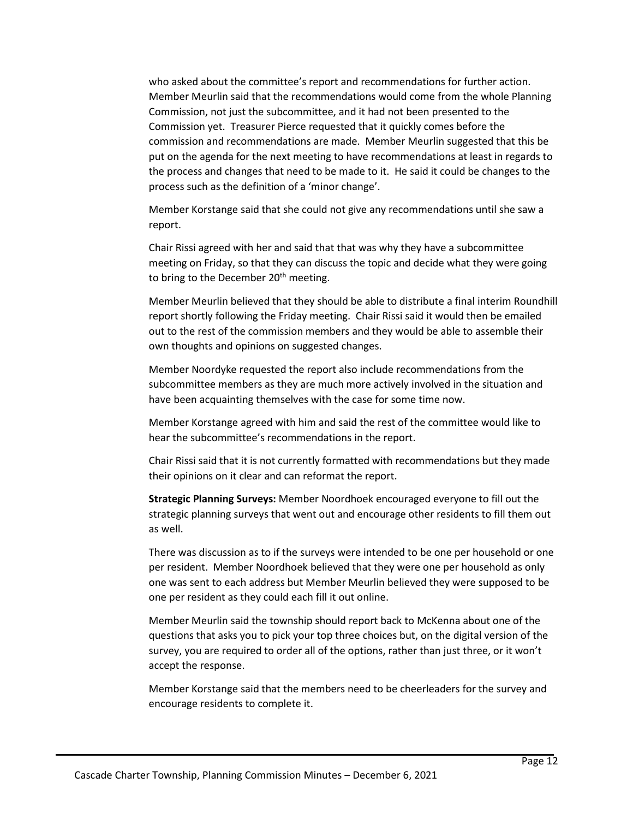who asked about the committee's report and recommendations for further action. Member Meurlin said that the recommendations would come from the whole Planning Commission, not just the subcommittee, and it had not been presented to the Commission yet. Treasurer Pierce requested that it quickly comes before the commission and recommendations are made. Member Meurlin suggested that this be put on the agenda for the next meeting to have recommendations at least in regards to the process and changes that need to be made to it. He said it could be changes to the process such as the definition of a 'minor change'.

Member Korstange said that she could not give any recommendations until she saw a report.

Chair Rissi agreed with her and said that that was why they have a subcommittee meeting on Friday, so that they can discuss the topic and decide what they were going to bring to the December 20<sup>th</sup> meeting.

Member Meurlin believed that they should be able to distribute a final interim Roundhill report shortly following the Friday meeting. Chair Rissi said it would then be emailed out to the rest of the commission members and they would be able to assemble their own thoughts and opinions on suggested changes.

Member Noordyke requested the report also include recommendations from the subcommittee members as they are much more actively involved in the situation and have been acquainting themselves with the case for some time now.

Member Korstange agreed with him and said the rest of the committee would like to hear the subcommittee's recommendations in the report.

Chair Rissi said that it is not currently formatted with recommendations but they made their opinions on it clear and can reformat the report.

**Strategic Planning Surveys:** Member Noordhoek encouraged everyone to fill out the strategic planning surveys that went out and encourage other residents to fill them out as well.

There was discussion as to if the surveys were intended to be one per household or one per resident. Member Noordhoek believed that they were one per household as only one was sent to each address but Member Meurlin believed they were supposed to be one per resident as they could each fill it out online.

Member Meurlin said the township should report back to McKenna about one of the questions that asks you to pick your top three choices but, on the digital version of the survey, you are required to order all of the options, rather than just three, or it won't accept the response.

Member Korstange said that the members need to be cheerleaders for the survey and encourage residents to complete it.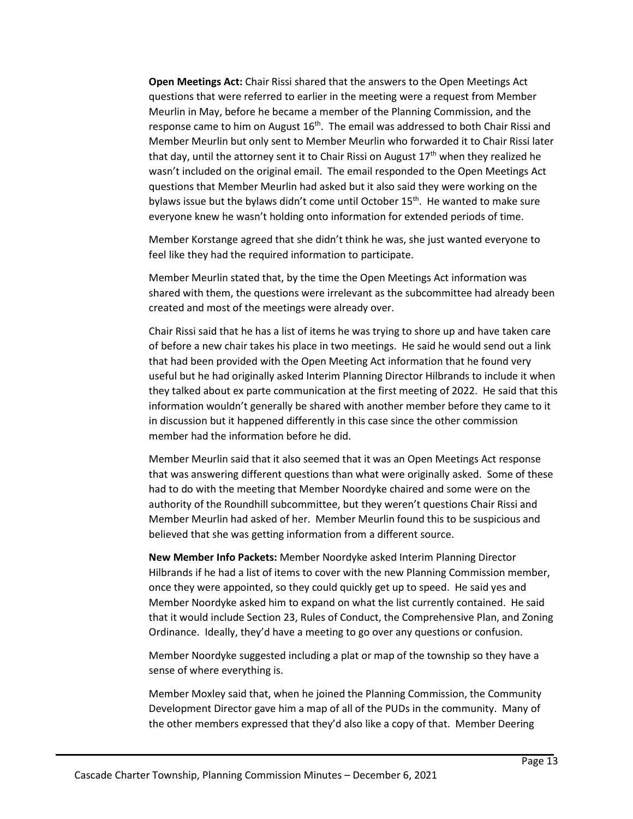**Open Meetings Act:** Chair Rissi shared that the answers to the Open Meetings Act questions that were referred to earlier in the meeting were a request from Member Meurlin in May, before he became a member of the Planning Commission, and the response came to him on August  $16<sup>th</sup>$ . The email was addressed to both Chair Rissi and Member Meurlin but only sent to Member Meurlin who forwarded it to Chair Rissi later that day, until the attorney sent it to Chair Rissi on August  $17<sup>th</sup>$  when they realized he wasn't included on the original email. The email responded to the Open Meetings Act questions that Member Meurlin had asked but it also said they were working on the bylaws issue but the bylaws didn't come until October  $15<sup>th</sup>$ . He wanted to make sure everyone knew he wasn't holding onto information for extended periods of time.

Member Korstange agreed that she didn't think he was, she just wanted everyone to feel like they had the required information to participate.

Member Meurlin stated that, by the time the Open Meetings Act information was shared with them, the questions were irrelevant as the subcommittee had already been created and most of the meetings were already over.

Chair Rissi said that he has a list of items he was trying to shore up and have taken care of before a new chair takes his place in two meetings. He said he would send out a link that had been provided with the Open Meeting Act information that he found very useful but he had originally asked Interim Planning Director Hilbrands to include it when they talked about ex parte communication at the first meeting of 2022. He said that this information wouldn't generally be shared with another member before they came to it in discussion but it happened differently in this case since the other commission member had the information before he did.

Member Meurlin said that it also seemed that it was an Open Meetings Act response that was answering different questions than what were originally asked. Some of these had to do with the meeting that Member Noordyke chaired and some were on the authority of the Roundhill subcommittee, but they weren't questions Chair Rissi and Member Meurlin had asked of her. Member Meurlin found this to be suspicious and believed that she was getting information from a different source.

**New Member Info Packets:** Member Noordyke asked Interim Planning Director Hilbrands if he had a list of items to cover with the new Planning Commission member, once they were appointed, so they could quickly get up to speed. He said yes and Member Noordyke asked him to expand on what the list currently contained. He said that it would include Section 23, Rules of Conduct, the Comprehensive Plan, and Zoning Ordinance. Ideally, they'd have a meeting to go over any questions or confusion.

Member Noordyke suggested including a plat or map of the township so they have a sense of where everything is.

Member Moxley said that, when he joined the Planning Commission, the Community Development Director gave him a map of all of the PUDs in the community. Many of the other members expressed that they'd also like a copy of that. Member Deering